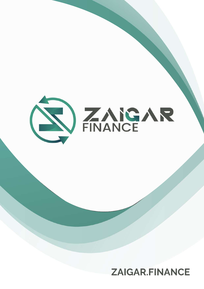

# **ZAIGAR.FINANCE**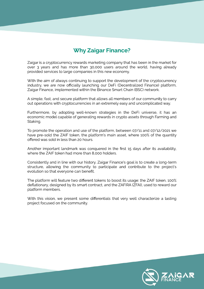### **Why Zaigar Finance?**

Zaigar is a cryptocurrency rewards marketing company that has been in the market for over 3 years and has more than 30,000 users around the world, having already provided services to large companies in this new economy.

With the aim of always continuing to support the development of the cryptocurrency industry, we are now officially launching our DeFi (Decentralized Finance) platform, Zaigar Finance, implemented within the Binance Smart Chain (BSC) network.

A simple, fast, and secure platform that allows all members of our community to carry out operations with cryptocurrencies in an extremely easy and uncomplicated way.

Furthermore, by adopting well-known strategies in the DeFi universe, it has an economic model capable of generating rewards in crypto assets through Farming and Staking.

To promote the operation and use of the platform, between 07/11 and 07/12/2021 we have pre-sold the ZAIF token, the platform's main asset, where 100% of the quantity offered was sold in less than 20 hours.

Another important landmark was conquered in the first 15 days after its availability, where the ZAIF token had more than 8,000 holders.

Consistently and in line with our history, Zaigar Finance's goal is to create a long-term structure, allowing the community to participate and contribute to the project's evolution so that everyone can benefit.

The platform will feature two different tokens to boost its usage: the ZAIF token, 100% deflationary, designed by its smart contract, and the ZAFIRA (ZFAI), used to reward our platform members.

With this vision, we present some differentials that very well characterize a lasting project focused on the community.

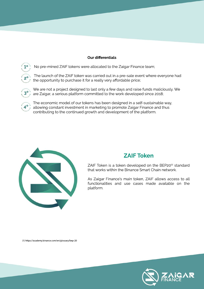#### **Our differentials**



**2º**

No pre-mined ZAIF tokens were allocated to the Zaigar Finance team;

The launch of the ZAIF token was carried out in a pre-sale event where everyone had the opportunity to purchase it for a really very affordable price;



We are not a project designed to last only a few days and raise funds maliciously. We are Zaigar, a serious platform committed to the work developed since 2018;

The economic model of our tokens has been designed in a self-sustainable way, allowing constant investment in marketing to promote Zaigar Finance and thus contributing to the continued growth and development of the platform. **4º**



#### **ZAIFToken**

ZAIF Token is a token developed on the BEP20(1) standard that works within the Binance Smart Chain network.

As Zaigar Finance's main token, ZAIF allows access to all functionalities and use cases made available on the platform.

(1)https://academy.binance.com/en/glossary/bep-20

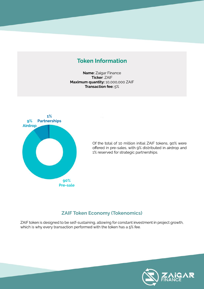### **Token Information**

Name: Zaigar Finance **Ticker: ZAIF** Maximum quantity: 10,000,000 ZAIF Transaction fee: 5%



Of the total of 10 million initial ZAIF tokens, 90% were offered in pre-sales, with 9% distributed in airdrop and 1% reserved for strategic partnerships.

#### **ZAIF Token Economy (Tokenomics)**

ZAIF token is designed to be self-sustaining, allowing for constant investment in project growth, which is why every transaction performed with the token has a 5% fee.

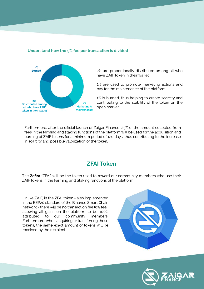#### **Understand how the 5% fee per transaction is divided**



2% are proportionally distributed among all who have ZAIF token in their wallet;

2% are used to promote marketing actions and pay for the maintenance of the platform;

1% is burned, thus helping to create scarcity and contributing to the stability of the token on the open market.

Furthermore, after the official launch of Zaigar Finance, 25% of the amount collected from fees in the farming and staking functions of the platform will be used for the acquisition and burning of ZAIF tokens for a minimum period of 120 days, thus contributing to the increase in scarcity and possible valorization of the token.

#### **ZFAIToken**

The Zafira (ZFAI) will be the token used to reward our community members who use their ZAIF tokens in the Farming and Staking functions of the platform.

Unlike ZAIF, in the ZFAI token - also implemented in the BEP20 standard of the Binance Smart Chain network - there will be no transaction fee (0% fee), allowing all gains on the platform to be 100% attributed to our community members. Furthermore, when acquiring or transferring these tokens, the same exact amount of tokens will be received by the recipient.



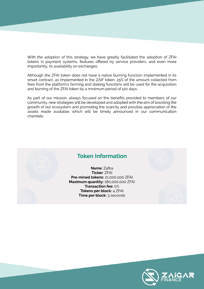With the adoption of this strategy, we have greatly facilitated the adoption of ZFAI tokens in payment systems, features offered by service providers, and even more importantly, its availability on exchanges.

Although the ZFAI token does not have a native burning function implemented in its smart contract, as implemented in the ZAIF token, 25% of the amount collected from fees from the platform's farming and staking functions will be used for the acquisition and burning of the ZFAI token by a minimum period of 120 days.

As part of our mission, always focused on the benefits provided to members of our community, new strategies will be developed and adopted with the aim of boosting the growth of our ecosystem and promoting the scarcity and possible appreciation of the assets made available, which will be timely announced in our communication channels.



#### **Token Information**

**Name:**Zafira **Ticker**:ZFAI **Pre-mined tokens:** 21,000,000 ZFAI **Maximum quantity:**180,000,000ZFAI **Transaction fee: 0% Tokens per block: 4 ZFAI Time per block:** 3 seconds

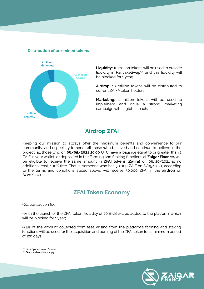

#### **Distribution of pre-mined tokens**

**Liquidity:** 10 million tokens will be used to provide liquidity in PancakeSwap<sup>(2)</sup>, and this liquidity will be blocked for 1 year;

Airdrop: 10 million tokens will be distributed to current ZAIF<sup>(3)</sup> token holders.

**Marketing:** 1 million tokens will be used to implement and drive a strong marketing campaign with a global reach.

#### **Airdrop ZFAI**

Keeping our mission to always offer the maximum benefits and convenience to our community, and especially to honor all those who believed and continue to believe in the project, all those who on **08/05/2021** 20:00 UTC have a balance equal to or greater than 1 ZAIF in your wallet, or deposited in the Farming and Staking functions at **Zaigar Finance,** will be eligible to receive the same amount in **ZFAI tokens (Zafira)** on 08/20/2021 at no additional cost, 100% free. That is, someone who has 50,000 ZAIF on 8/05/2021, according to the terms and conditions stated above, will receive 50,000 ZFAI in the **airdrop** on 8/20/2021.

#### **ZFAI Token Economy**

-0% transaction fee;

-With the launch of the ZFAI token, liquidity of 20 BNB will be added to the platform, which will be blocked for 1 year;

-25% of the amount collected from fees arising from the platform's farming and staking functions will be used for the acquisition and burning of the ZFAI token for a minimum period of 120 days.

(2) https://pancakeswap.finance/ (3) Terms and conditions apply.

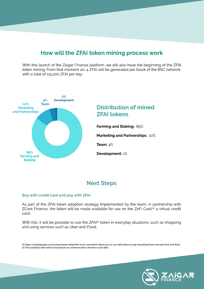#### **How will the ZFAI token mining process work**

With the launch of the Zaigar Finance platform, we will also have the beginning of the ZFAI token mining. From that moment on, 4 ZFAI will be generated per block of the BSC network, with a total of 115,200 ZFAI per day.



### **Distribution of mined ZFAI tokens**

**Farming and Staking: 85%** 

**Marketing and Partnerships: 10%** 

**Team:**4%

**Development:**1%

#### **Next Steps**

#### **Buy with credit card and pay with ZFAI**

As part of the ZFAI token adoption strategy implemented by the team, in partnership with ZCore Finance, the token will be made available for use on the ZeFi Card, $(4)$  a virtual credit card.

With this, it will be possible to use the ZFAI<sup>(5)</sup> token in everyday situations, such as shopping and using services such as Uber and iFood.

(4)https://cointelegraph.com.br/news/weve-tested-the-zcore-card-which-allows-you-to-use-deö-tokens-to-pay-everything-from-mercado-livre-and-ifood (5) The availability date will be disclosed in our communication channels in due date.

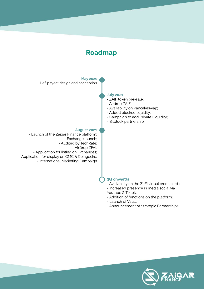



- Announcement of Strategic Partnerships.